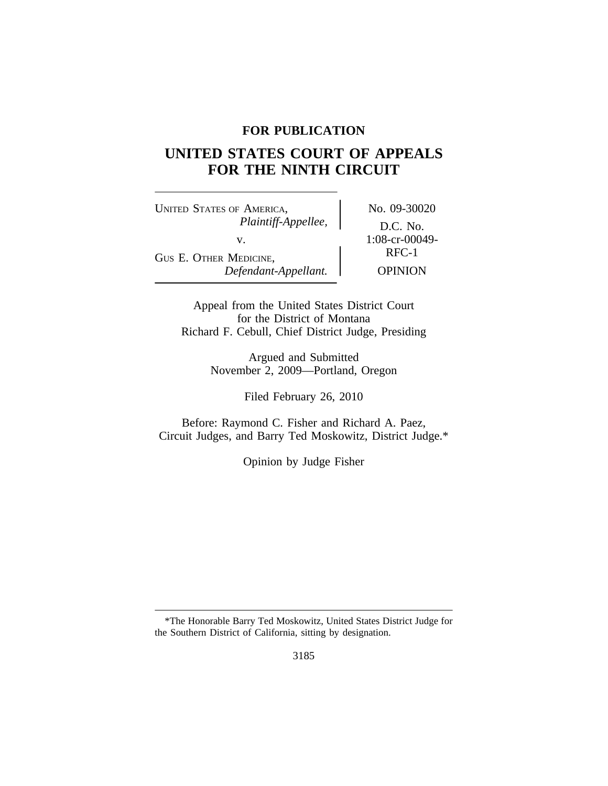## **FOR PUBLICATION**

# **UNITED STATES COURT OF APPEALS FOR THE NINTH CIRCUIT**

UNITED STATES OF AMERICA, No. 09-30020 *Plaintiff-Appellee,* D.C. No. v.  $1:08-cr-00049-$ GUS E. OTHER MEDICINE, *Defendant-Appellant.* OPINION

Appeal from the United States District Court for the District of Montana Richard F. Cebull, Chief District Judge, Presiding

> Argued and Submitted November 2, 2009—Portland, Oregon

> > Filed February 26, 2010

Before: Raymond C. Fisher and Richard A. Paez, Circuit Judges, and Barry Ted Moskowitz, District Judge.\*

Opinion by Judge Fisher

<sup>\*</sup>The Honorable Barry Ted Moskowitz, United States District Judge for the Southern District of California, sitting by designation.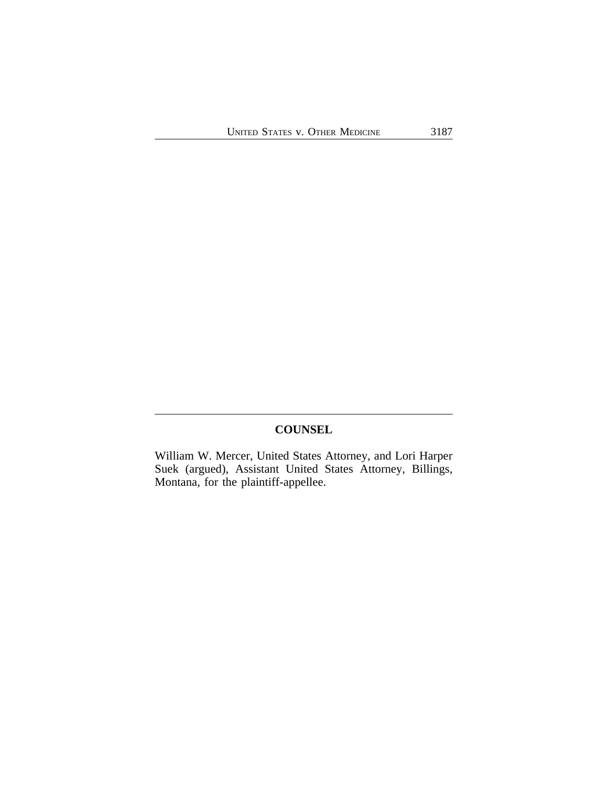## **COUNSEL**

William W. Mercer, United States Attorney, and Lori Harper Suek (argued), Assistant United States Attorney, Billings, Montana, for the plaintiff-appellee.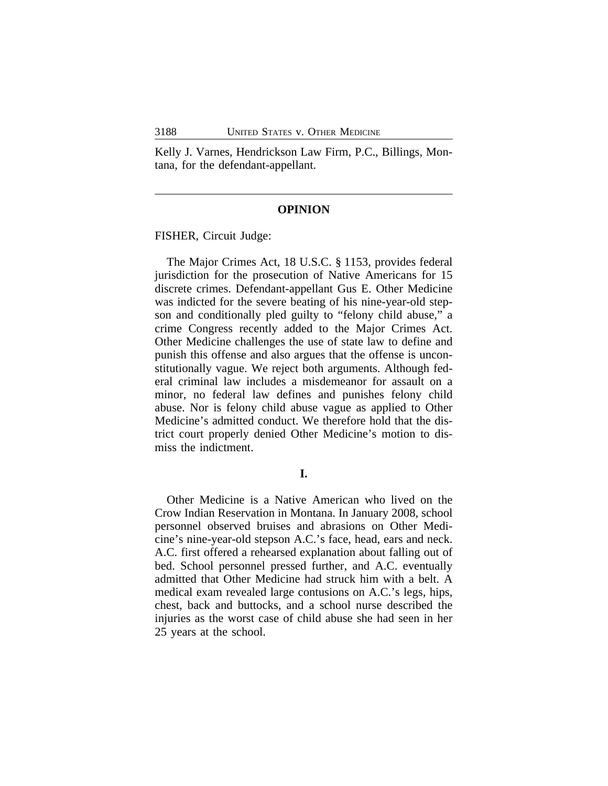Kelly J. Varnes, Hendrickson Law Firm, P.C., Billings, Montana, for the defendant-appellant.

#### **OPINION**

FISHER, Circuit Judge:

The Major Crimes Act, 18 U.S.C. § 1153, provides federal jurisdiction for the prosecution of Native Americans for 15 discrete crimes. Defendant-appellant Gus E. Other Medicine was indicted for the severe beating of his nine-year-old stepson and conditionally pled guilty to "felony child abuse," a crime Congress recently added to the Major Crimes Act. Other Medicine challenges the use of state law to define and punish this offense and also argues that the offense is unconstitutionally vague. We reject both arguments. Although federal criminal law includes a misdemeanor for assault on a minor, no federal law defines and punishes felony child abuse. Nor is felony child abuse vague as applied to Other Medicine's admitted conduct. We therefore hold that the district court properly denied Other Medicine's motion to dismiss the indictment.

## **I.**

Other Medicine is a Native American who lived on the Crow Indian Reservation in Montana. In January 2008, school personnel observed bruises and abrasions on Other Medicine's nine-year-old stepson A.C.'s face, head, ears and neck. A.C. first offered a rehearsed explanation about falling out of bed. School personnel pressed further, and A.C. eventually admitted that Other Medicine had struck him with a belt. A medical exam revealed large contusions on A.C.'s legs, hips, chest, back and buttocks, and a school nurse described the injuries as the worst case of child abuse she had seen in her 25 years at the school.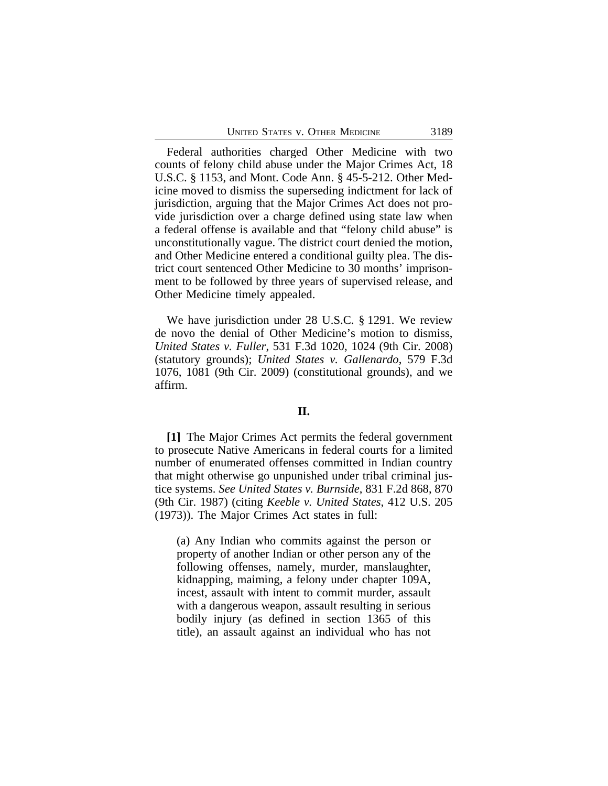Federal authorities charged Other Medicine with two counts of felony child abuse under the Major Crimes Act, 18 U.S.C. § 1153, and Mont. Code Ann. § 45-5-212. Other Medicine moved to dismiss the superseding indictment for lack of jurisdiction, arguing that the Major Crimes Act does not provide jurisdiction over a charge defined using state law when a federal offense is available and that "felony child abuse" is unconstitutionally vague. The district court denied the motion, and Other Medicine entered a conditional guilty plea. The district court sentenced Other Medicine to 30 months' imprisonment to be followed by three years of supervised release, and Other Medicine timely appealed.

We have jurisdiction under 28 U.S.C. § 1291. We review de novo the denial of Other Medicine's motion to dismiss, *United States v. Fuller*, 531 F.3d 1020, 1024 (9th Cir. 2008) (statutory grounds); *United States v. Gallenardo*, 579 F.3d 1076, 1081 (9th Cir. 2009) (constitutional grounds), and we affirm.

## **II.**

**[1]** The Major Crimes Act permits the federal government to prosecute Native Americans in federal courts for a limited number of enumerated offenses committed in Indian country that might otherwise go unpunished under tribal criminal justice systems. *See United States v. Burnside*, 831 F.2d 868, 870 (9th Cir. 1987) (citing *Keeble v. United States*, 412 U.S. 205 (1973)). The Major Crimes Act states in full:

(a) Any Indian who commits against the person or property of another Indian or other person any of the following offenses, namely, murder, manslaughter, kidnapping, maiming, a felony under chapter 109A, incest, assault with intent to commit murder, assault with a dangerous weapon, assault resulting in serious bodily injury (as defined in section 1365 of this title), an assault against an individual who has not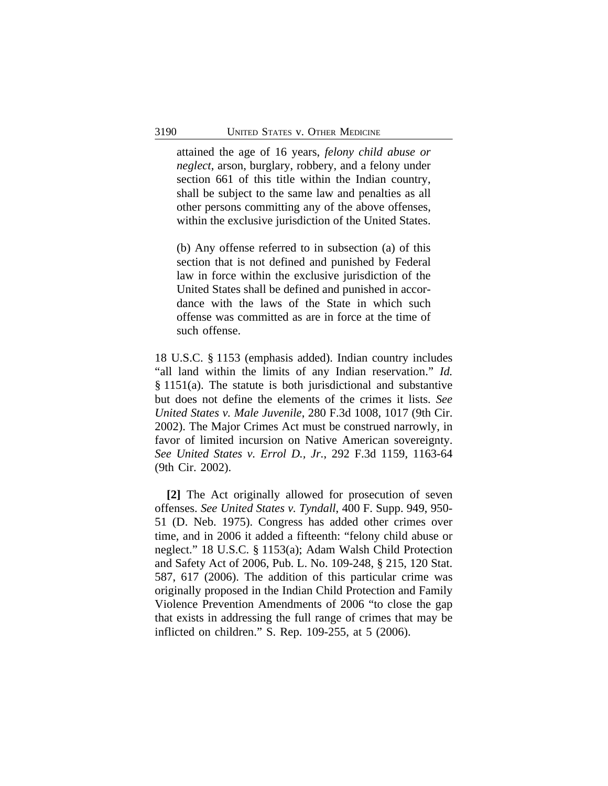attained the age of 16 years, *felony child abuse or neglect*, arson, burglary, robbery, and a felony under section 661 of this title within the Indian country, shall be subject to the same law and penalties as all other persons committing any of the above offenses, within the exclusive jurisdiction of the United States.

(b) Any offense referred to in subsection (a) of this section that is not defined and punished by Federal law in force within the exclusive jurisdiction of the United States shall be defined and punished in accordance with the laws of the State in which such offense was committed as are in force at the time of such offense.

18 U.S.C. § 1153 (emphasis added). Indian country includes "all land within the limits of any Indian reservation." *Id.* § 1151(a). The statute is both jurisdictional and substantive but does not define the elements of the crimes it lists. *See United States v. Male Juvenile*, 280 F.3d 1008, 1017 (9th Cir. 2002). The Major Crimes Act must be construed narrowly, in favor of limited incursion on Native American sovereignty. *See United States v. Errol D., Jr.*, 292 F.3d 1159, 1163-64 (9th Cir. 2002).

**[2]** The Act originally allowed for prosecution of seven offenses. *See United States v. Tyndall*, 400 F. Supp. 949, 950- 51 (D. Neb. 1975). Congress has added other crimes over time, and in 2006 it added a fifteenth: "felony child abuse or neglect." 18 U.S.C. § 1153(a); Adam Walsh Child Protection and Safety Act of 2006, Pub. L. No. 109-248, § 215, 120 Stat. 587, 617 (2006). The addition of this particular crime was originally proposed in the Indian Child Protection and Family Violence Prevention Amendments of 2006 "to close the gap that exists in addressing the full range of crimes that may be inflicted on children." S. Rep. 109-255, at 5 (2006).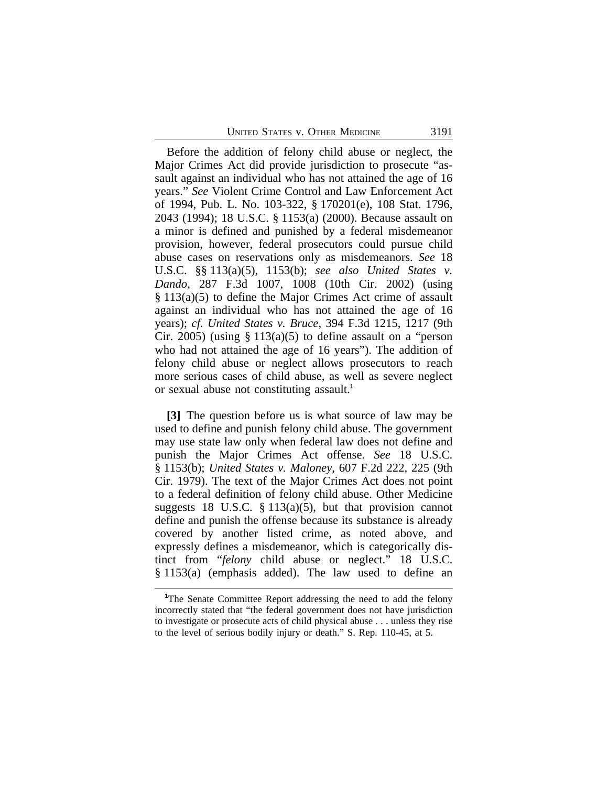Before the addition of felony child abuse or neglect, the Major Crimes Act did provide jurisdiction to prosecute "assault against an individual who has not attained the age of 16 years." *See* Violent Crime Control and Law Enforcement Act of 1994, Pub. L. No. 103-322, § 170201(e), 108 Stat. 1796, 2043 (1994); 18 U.S.C. § 1153(a) (2000). Because assault on a minor is defined and punished by a federal misdemeanor provision, however, federal prosecutors could pursue child abuse cases on reservations only as misdemeanors. *See* 18 U.S.C. §§ 113(a)(5), 1153(b); *see also United States v. Dando*, 287 F.3d 1007, 1008 (10th Cir. 2002) (using § 113(a)(5) to define the Major Crimes Act crime of assault against an individual who has not attained the age of 16 years); *cf. United States v. Bruce*, 394 F.3d 1215, 1217 (9th Cir. 2005) (using  $\S 113(a)(5)$  to define assault on a "person who had not attained the age of 16 years"). The addition of felony child abuse or neglect allows prosecutors to reach more serious cases of child abuse, as well as severe neglect or sexual abuse not constituting assault.**<sup>1</sup>**

**[3]** The question before us is what source of law may be used to define and punish felony child abuse. The government may use state law only when federal law does not define and punish the Major Crimes Act offense. *See* 18 U.S.C. § 1153(b); *United States v. Maloney*, 607 F.2d 222, 225 (9th Cir. 1979). The text of the Major Crimes Act does not point to a federal definition of felony child abuse. Other Medicine suggests 18 U.S.C.  $\S$  113(a)(5), but that provision cannot define and punish the offense because its substance is already covered by another listed crime, as noted above, and expressly defines a misdemeanor, which is categorically distinct from "*felony* child abuse or neglect." 18 U.S.C. § 1153(a) (emphasis added). The law used to define an

<sup>&</sup>lt;sup>1</sup>The Senate Committee Report addressing the need to add the felony incorrectly stated that "the federal government does not have jurisdiction to investigate or prosecute acts of child physical abuse . . . unless they rise to the level of serious bodily injury or death." S. Rep. 110-45, at 5.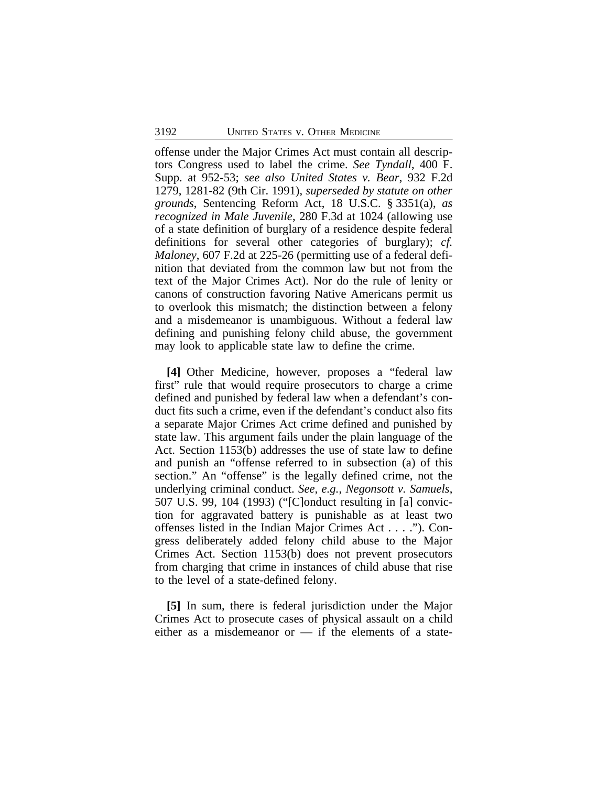offense under the Major Crimes Act must contain all descriptors Congress used to label the crime. *See Tyndall*, 400 F. Supp. at 952-53; *see also United States v. Bear*, 932 F.2d 1279, 1281-82 (9th Cir. 1991), *superseded by statute on other grounds*, Sentencing Reform Act, 18 U.S.C. § 3351(a), *as recognized in Male Juvenile*, 280 F.3d at 1024 (allowing use of a state definition of burglary of a residence despite federal definitions for several other categories of burglary); *cf. Maloney*, 607 F.2d at 225-26 (permitting use of a federal definition that deviated from the common law but not from the text of the Major Crimes Act). Nor do the rule of lenity or canons of construction favoring Native Americans permit us to overlook this mismatch; the distinction between a felony and a misdemeanor is unambiguous. Without a federal law defining and punishing felony child abuse, the government may look to applicable state law to define the crime.

**[4]** Other Medicine, however, proposes a "federal law first" rule that would require prosecutors to charge a crime defined and punished by federal law when a defendant's conduct fits such a crime, even if the defendant's conduct also fits a separate Major Crimes Act crime defined and punished by state law. This argument fails under the plain language of the Act. Section 1153(b) addresses the use of state law to define and punish an "offense referred to in subsection (a) of this section." An "offense" is the legally defined crime, not the underlying criminal conduct. *See, e.g.*, *Negonsott v. Samuels*, 507 U.S. 99, 104 (1993) ("[C]onduct resulting in [a] conviction for aggravated battery is punishable as at least two offenses listed in the Indian Major Crimes Act . . . ."). Congress deliberately added felony child abuse to the Major Crimes Act. Section 1153(b) does not prevent prosecutors from charging that crime in instances of child abuse that rise to the level of a state-defined felony.

**[5]** In sum, there is federal jurisdiction under the Major Crimes Act to prosecute cases of physical assault on a child either as a misdemeanor or  $-$  if the elements of a state-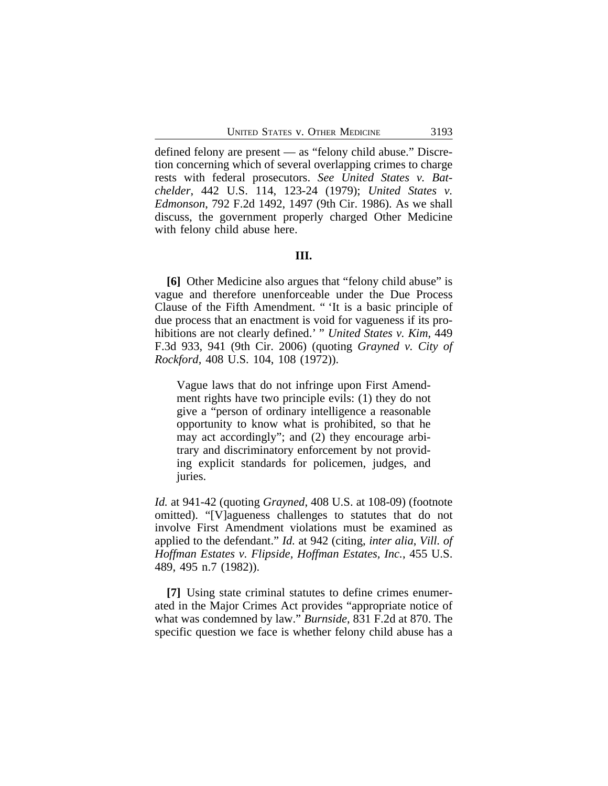defined felony are present — as "felony child abuse." Discretion concerning which of several overlapping crimes to charge rests with federal prosecutors. *See United States v. Batchelder*, 442 U.S. 114, 123-24 (1979); *United States v. Edmonson*, 792 F.2d 1492, 1497 (9th Cir. 1986). As we shall discuss, the government properly charged Other Medicine with felony child abuse here.

### **III.**

**[6]** Other Medicine also argues that "felony child abuse" is vague and therefore unenforceable under the Due Process Clause of the Fifth Amendment. " 'It is a basic principle of due process that an enactment is void for vagueness if its prohibitions are not clearly defined.' " *United States v. Kim*, 449 F.3d 933, 941 (9th Cir. 2006) (quoting *Grayned v. City of Rockford*, 408 U.S. 104, 108 (1972)).

Vague laws that do not infringe upon First Amendment rights have two principle evils: (1) they do not give a "person of ordinary intelligence a reasonable opportunity to know what is prohibited, so that he may act accordingly"; and (2) they encourage arbitrary and discriminatory enforcement by not providing explicit standards for policemen, judges, and juries.

*Id.* at 941-42 (quoting *Grayned*, 408 U.S. at 108-09) (footnote omitted). "[V]agueness challenges to statutes that do not involve First Amendment violations must be examined as applied to the defendant." *Id.* at 942 (citing, *inter alia*, *Vill. of Hoffman Estates v. Flipside, Hoffman Estates, Inc.*, 455 U.S. 489, 495 n.7 (1982)).

**[7]** Using state criminal statutes to define crimes enumerated in the Major Crimes Act provides "appropriate notice of what was condemned by law." *Burnside*, 831 F.2d at 870. The specific question we face is whether felony child abuse has a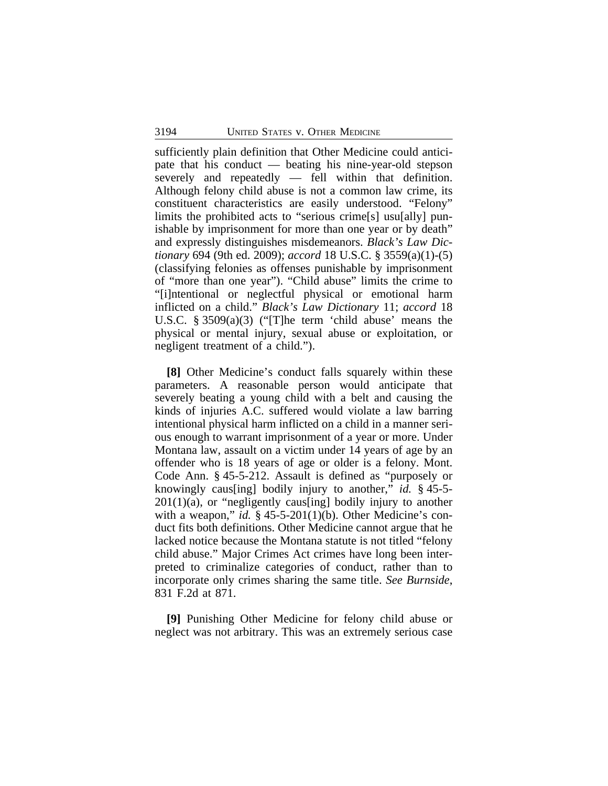sufficiently plain definition that Other Medicine could anticipate that his conduct — beating his nine-year-old stepson severely and repeatedly — fell within that definition. Although felony child abuse is not a common law crime, its constituent characteristics are easily understood. "Felony" limits the prohibited acts to "serious crime[s] usu[ally] punishable by imprisonment for more than one year or by death" and expressly distinguishes misdemeanors. *Black's Law Dictionary* 694 (9th ed. 2009); *accord* 18 U.S.C. § 3559(a)(1)-(5) (classifying felonies as offenses punishable by imprisonment of "more than one year"). "Child abuse" limits the crime to "[i]ntentional or neglectful physical or emotional harm inflicted on a child." *Black's Law Dictionary* 11; *accord* 18 U.S.C. § 3509(a)(3) ("[T]he term 'child abuse' means the physical or mental injury, sexual abuse or exploitation, or negligent treatment of a child.").

**[8]** Other Medicine's conduct falls squarely within these parameters. A reasonable person would anticipate that severely beating a young child with a belt and causing the kinds of injuries A.C. suffered would violate a law barring intentional physical harm inflicted on a child in a manner serious enough to warrant imprisonment of a year or more. Under Montana law, assault on a victim under 14 years of age by an offender who is 18 years of age or older is a felony. Mont. Code Ann. § 45-5-212. Assault is defined as "purposely or knowingly caus[ing] bodily injury to another," *id.* § 45-5-  $201(1)(a)$ , or "negligently caus[ing] bodily injury to another with a weapon," *id.*  $\S$  45-5-201(1)(b). Other Medicine's conduct fits both definitions. Other Medicine cannot argue that he lacked notice because the Montana statute is not titled "felony child abuse." Major Crimes Act crimes have long been interpreted to criminalize categories of conduct, rather than to incorporate only crimes sharing the same title. *See Burnside*, 831 F.2d at 871.

**[9]** Punishing Other Medicine for felony child abuse or neglect was not arbitrary. This was an extremely serious case